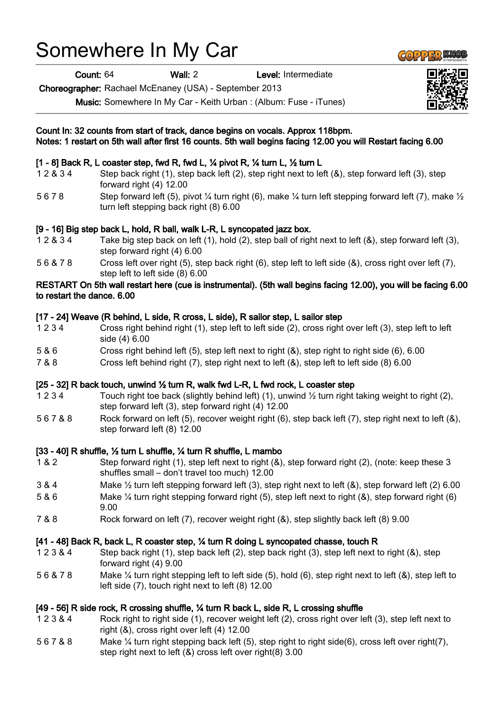# Somewhere In My Car

Count: 64 Wall: 2 Level: Intermediate

Choreographer: Rachael McEnaney (USA) - September 2013

Music: Somewhere In My Car - Keith Urban : (Album: Fuse - iTunes)

#### Count In: 32 counts from start of track, dance begins on vocals. Approx 118bpm. Notes: 1 restart on 5th wall after first 16 counts. 5th wall begins facing 12.00 you will Restart facing 6.00

## [1 - 8] Back R, L coaster step, fwd R, fwd L, ¼ pivot R, ¼ turn L, ½ turn L

- 1 2 & 3 4 Step back right (1), step back left (2), step right next to left (&), step forward left (3), step forward right (4) 12.00
- 5 6 7 8 Step forward left (5), pivot ¼ turn right (6), make ¼ turn left stepping forward left (7), make ½ turn left stepping back right (8) 6.00

#### [9 - 16] Big step back L, hold, R ball, walk L-R, L syncopated jazz box.

- 1 2 & 3 4 Take big step back on left (1), hold (2), step ball of right next to left (&), step forward left (3), step forward right (4) 6.00
- 5 6 & 7 8 Cross left over right (5), step back right (6), step left to left side (&), cross right over left (7), step left to left side (8) 6.00

#### RESTART On 5th wall restart here (cue is instrumental). (5th wall begins facing 12.00), you will be facing 6.00 to restart the dance. 6.00

#### [17 - 24] Weave (R behind, L side, R cross, L side), R sailor step, L sailor step

- 1 2 3 4 Cross right behind right (1), step left to left side (2), cross right over left (3), step left to left side (4) 6.00
- 5 & 6 Cross right behind left (5), step left next to right (&), step right to right side (6), 6.00
- 7 & 8 Cross left behind right (7), step right next to left (&), step left to left side (8) 6.00

## [25 - 32] R back touch, unwind ½ turn R, walk fwd L-R, L fwd rock, L coaster step

- 1 2 3 4 Touch right toe back (slightly behind left) (1), unwind  $\frac{1}{2}$  turn right taking weight to right (2), step forward left (3), step forward right (4) 12.00
- 5 6 7 & 8 Rock forward on left (5), recover weight right (6), step back left (7), step right next to left (&), step forward left (8) 12.00

## [33 - 40] R shuffle, ½ turn L shuffle, ¼ turn R shuffle, L mambo

- 1 & 2 Step forward right (1), step left next to right (&), step forward right (2), (note: keep these 3 shuffles small – don't travel too much) 12.00
- 3 & 4 Make ½ turn left stepping forward left (3), step right next to left (&), step forward left (2) 6.00
- 5 & 6 Make ¼ turn right stepping forward right (5), step left next to right (&), step forward right (6) 9.00
- 7 & 8 Rock forward on left (7), recover weight right (&), step slightly back left (8) 9.00

## [41 - 48] Back R, back L, R coaster step, ¼ turn R doing L syncopated chasse, touch R

- 1 2 3 & 4 Step back right (1), step back left (2), step back right (3), step left next to right (&), step forward right (4) 9.00
- 5 6 & 7 8 Make ¼ turn right stepping left to left side (5), hold (6), step right next to left (&), step left to left side (7), touch right next to left (8) 12.00

## [49 - 56] R side rock, R crossing shuffle, ¼ turn R back L, side R, L crossing shuffle

- 1 2 3 & 4 Rock right to right side (1), recover weight left (2), cross right over left (3), step left next to right (&), cross right over left (4) 12.00
- 5 6 7 & 8 Make ¼ turn right stepping back left (5), step right to right side(6), cross left over right(7), step right next to left (&) cross left over right(8) 3.00